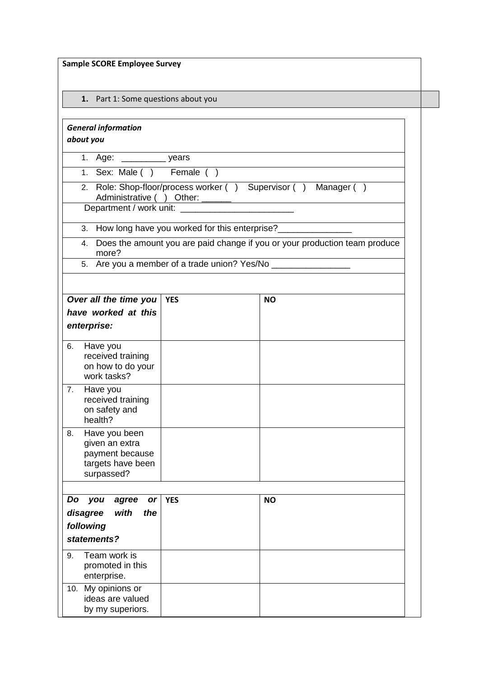| <b>Sample SCORE Employee Survey</b>                                                         |                                                                  |                                                                               |
|---------------------------------------------------------------------------------------------|------------------------------------------------------------------|-------------------------------------------------------------------------------|
| 1. Part 1: Some questions about you                                                         |                                                                  |                                                                               |
| <b>General information</b><br>about you                                                     |                                                                  |                                                                               |
| 1. Age: ______________ years<br>1. Sex: Male () Female ()                                   |                                                                  |                                                                               |
| Administrative () Other:                                                                    |                                                                  | 2. Role: Shop-floor/process worker () Supervisor () Manager ()                |
|                                                                                             |                                                                  |                                                                               |
|                                                                                             |                                                                  |                                                                               |
| more?                                                                                       | 5. Are you a member of a trade union? Yes/No ___________________ | 4. Does the amount you are paid change if you or your production team produce |
|                                                                                             |                                                                  |                                                                               |
| Over all the time you                                                                       | <b>YES</b>                                                       | <b>NO</b>                                                                     |
| have worked at this                                                                         |                                                                  |                                                                               |
| enterprise:                                                                                 |                                                                  |                                                                               |
| Have you<br>6.<br>received training<br>on how to do your<br>work tasks?                     |                                                                  |                                                                               |
| 7.<br>Have you<br>received training<br>on safety and<br>health?                             |                                                                  |                                                                               |
| Have you been<br>8.<br>given an extra<br>payment because<br>targets have been<br>surpassed? |                                                                  |                                                                               |
| Do<br>agree<br>you<br><b>or</b>                                                             | <b>YES</b>                                                       | <b>NO</b>                                                                     |
| disagree<br>with<br>the                                                                     |                                                                  |                                                                               |
| following<br>statements?                                                                    |                                                                  |                                                                               |
| Team work is<br>9.<br>promoted in this<br>enterprise.                                       |                                                                  |                                                                               |
| 10. My opinions or<br>ideas are valued<br>by my superiors.                                  |                                                                  |                                                                               |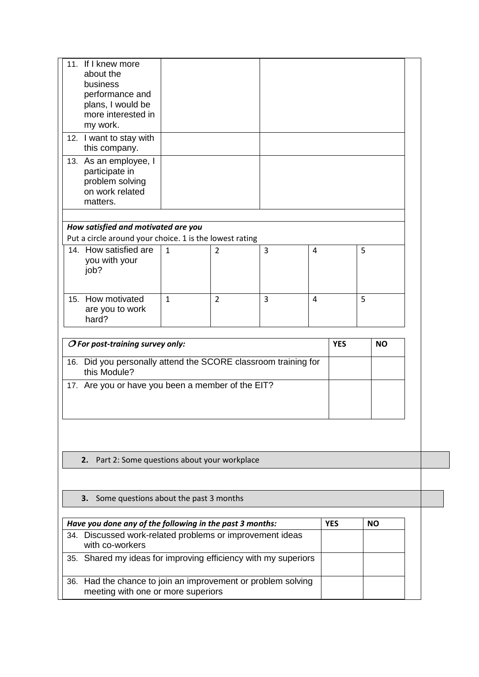| 11. If I knew more<br>about the<br>business<br>performance and<br>plans, I would be<br>more interested in<br>my work.<br>12. I want to stay with<br>this company.<br>13. As an employee, I<br>participate in<br>problem solving |              |                |   |                |           |  |
|---------------------------------------------------------------------------------------------------------------------------------------------------------------------------------------------------------------------------------|--------------|----------------|---|----------------|-----------|--|
| on work related<br>matters.                                                                                                                                                                                                     |              |                |   |                |           |  |
| How satisfied and motivated are you                                                                                                                                                                                             |              |                |   |                |           |  |
| Put a circle around your choice. 1 is the lowest rating<br>14. How satisfied are<br>you with your<br>job?                                                                                                                       | $\mathbf{1}$ | $\overline{2}$ | 3 | 4              | 5         |  |
| 15. How motivated<br>are you to work<br>hard?                                                                                                                                                                                   | $\mathbf{1}$ | $\overline{2}$ | 3 | $\overline{4}$ | 5         |  |
| $O$ For post-training survey only:                                                                                                                                                                                              |              |                |   | <b>YES</b>     | <b>NO</b> |  |
| 16. Did you personally attend the SCORE classroom training for<br>this Module?                                                                                                                                                  |              |                |   |                |           |  |
| 17. Are you or have you been a member of the EIT?                                                                                                                                                                               |              |                |   |                |           |  |
|                                                                                                                                                                                                                                 |              |                |   |                |           |  |
| Part 2: Some questions about your workplace<br>2.                                                                                                                                                                               |              |                |   |                |           |  |
| Some questions about the past 3 months<br>3.                                                                                                                                                                                    |              |                |   |                |           |  |
| Have you done any of the following in the past 3 months:                                                                                                                                                                        |              |                |   | <b>YES</b>     | <b>NO</b> |  |
| 34. Discussed work-related problems or improvement ideas<br>with co-workers                                                                                                                                                     |              |                |   |                |           |  |
| 35. Shared my ideas for improving efficiency with my superiors                                                                                                                                                                  |              |                |   |                |           |  |
| 36. Had the chance to join an improvement or problem solving<br>meeting with one or more superiors                                                                                                                              |              |                |   |                |           |  |